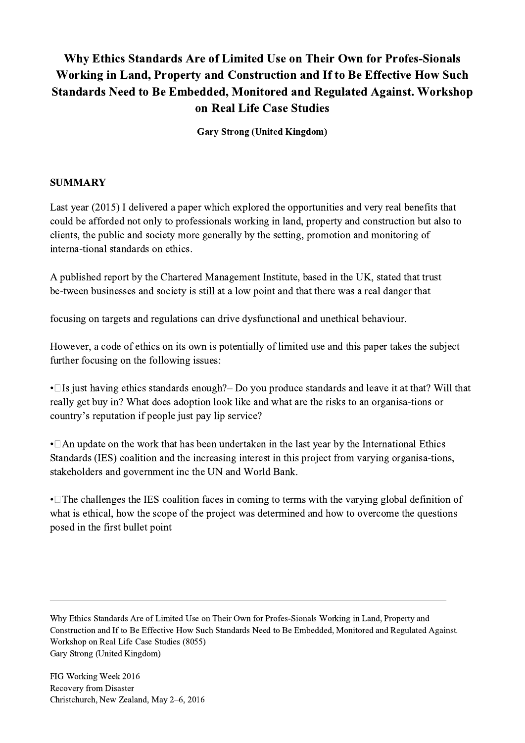## Why Ethics Standards Are of Limited Use on Their Own for Profes-Sionals Working in Land, Property and Construction and If to Be Effective How Such Standards Need to Be Embedded, Monitored and Regulated Against. Workshop on Real Life Case Studies

Gary Strong (United Kingdom)

## SUMMARY

Last year (2015) I delivered a paper which explored the opportunities and very real benefits that could be afforded not only to professionals working in land, property and construction but also to clients, the public and society more generally by the setting, promotion and monitoring of interna-tional standards on ethics.

A published report by the Chartered Management Institute, based in the UK, stated that trust be-tween businesses and society is still at a low point and that there was a real danger that

focusing on targets and regulations can drive dysfunctional and unethical behaviour.

However, a code of ethics on its own is potentially of limited use and this paper takes the subject further focusing on the following issues:

• $\square$ Is just having ethics standards enough? Do you produce standards and leave it at that? Will that really get buy in? What does adoption look like and what are the risks to an organisa-tions or country's reputation if people just pay lip service?

• $\Box$  An update on the work that has been undertaken in the last year by the International Ethics Standards (IES) coalition and the increasing interest in this project from varying organisa-tions, stakeholders and government inc the UN and World Bank.

 $\cdot$  The challenges the IES coalition faces in coming to terms with the varying global definition of what is ethical, how the scope of the project was determined and how to overcome the questions posed in the first bullet point

Why Ethics Standards Are of Limited Use on Their Own for Profes-Sionals Working in Land, Property and Construction and If to Be Effective How Such Standards Need to Be Embedded, Monitored and Regulated Against. Workshop on Real Life Case Studies (8055) Gary Strong (United Kingdom)

 $\mathcal{L}_\mathcal{L} = \{ \mathcal{L}_\mathcal{L} = \{ \mathcal{L}_\mathcal{L} = \{ \mathcal{L}_\mathcal{L} = \{ \mathcal{L}_\mathcal{L} = \{ \mathcal{L}_\mathcal{L} = \{ \mathcal{L}_\mathcal{L} = \{ \mathcal{L}_\mathcal{L} = \{ \mathcal{L}_\mathcal{L} = \{ \mathcal{L}_\mathcal{L} = \{ \mathcal{L}_\mathcal{L} = \{ \mathcal{L}_\mathcal{L} = \{ \mathcal{L}_\mathcal{L} = \{ \mathcal{L}_\mathcal{L} = \{ \mathcal{L}_\mathcal{$ 

FIG Working Week 2016 Recovery from Disaster Christchurch, New Zealand, May 2–6, 2016